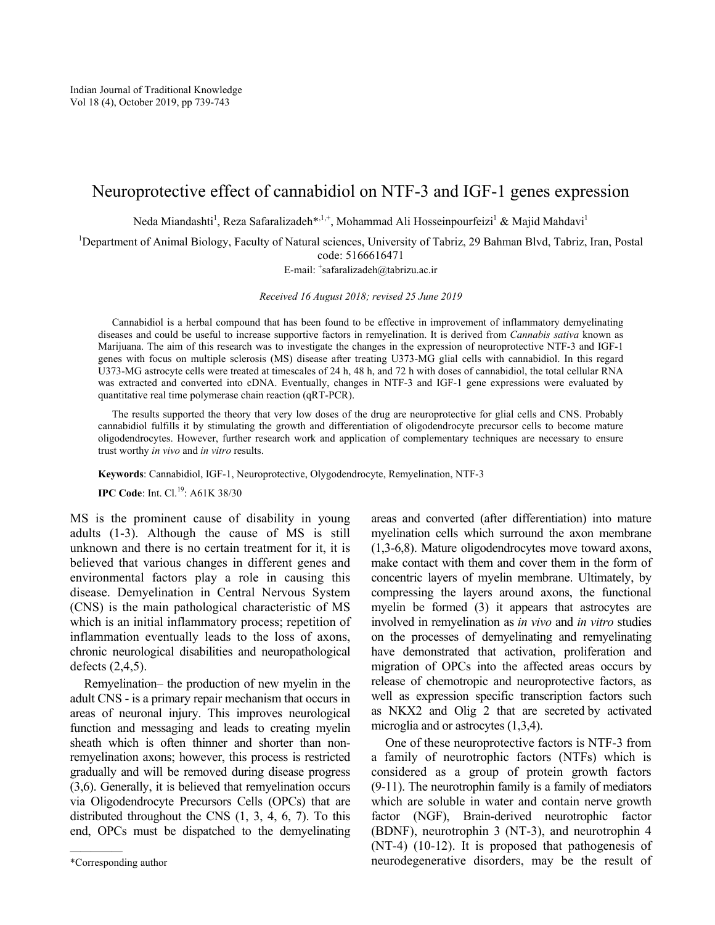# Neuroprotective effect of cannabidiol on NTF-3 and IGF-1 genes expression

Neda Miandashti<sup>1</sup>, Reza Safaralizadeh $^{*,1,+}$ , Mohammad Ali Hosseinpourfeizi<sup>1</sup> & Majid Mahdavi<sup>1</sup>

<sup>1</sup>Department of Animal Biology, Faculty of Natural sciences, University of Tabriz, 29 Bahman Blvd, Tabriz, Iran, Postal code: 5166616471

E-mail: <sup>+</sup>safaralizadeh@tabrizu.ac.ir

*Received 16 August 2018; revised 25 June 2019*

Cannabidiol is a herbal compound that has been found to be effective in improvement of inflammatory demyelinating diseases and could be useful to increase supportive factors in remyelination. It is derived from *Cannabis sativa* known as Marijuana. The aim of this research was to investigate the changes in the expression of neuroprotective NTF-3 and IGF-1 genes with focus on multiple sclerosis (MS) disease after treating U373-MG glial cells with cannabidiol. In this regard U373-MG astrocyte cells were treated at timescales of 24 h, 48 h, and 72 h with doses of cannabidiol, the total cellular RNA was extracted and converted into cDNA. Eventually, changes in NTF-3 and IGF-1 gene expressions were evaluated by quantitative real time polymerase chain reaction (qRT-PCR).

The results supported the theory that very low doses of the drug are neuroprotective for glial cells and CNS. Probably cannabidiol fulfills it by stimulating the growth and differentiation of oligodendrocyte precursor cells to become mature oligodendrocytes. However, further research work and application of complementary techniques are necessary to ensure trust worthy *in vivo* and *in vitro* results.

**Keywords**: Cannabidiol, IGF-1, Neuroprotective, Olygodendrocyte, Remyelination, NTF-3

**IPC Code:** Int. Cl.<sup>19</sup>: A61K 38/30

MS is the prominent cause of disability in young adults (1-3). Although the cause of MS is still unknown and there is no certain treatment for it, it is believed that various changes in different genes and environmental factors play a role in causing this disease. Demyelination in Central Nervous System (CNS) is the main pathological characteristic of MS which is an initial inflammatory process; repetition of inflammation eventually leads to the loss of axons, chronic neurological disabilities and neuropathological defects (2,4,5).

Remyelination– the production of new myelin in the adult CNS - is a primary repair mechanism that occurs in areas of neuronal injury. This improves neurological function and messaging and leads to creating myelin sheath which is often thinner and shorter than nonremyelination axons; however, this process is restricted gradually and will be removed during disease progress (3,6). Generally, it is believed that remyelination occurs via Oligodendrocyte Precursors Cells (OPCs) that are distributed throughout the CNS (1, 3, 4, 6, 7). To this end, OPCs must be dispatched to the demyelinating

areas and converted (after differentiation) into mature myelination cells which surround the axon membrane (1,3-6,8). Mature oligodendrocytes move toward axons, make contact with them and cover them in the form of concentric layers of myelin membrane. Ultimately, by compressing the layers around axons, the functional myelin be formed (3) it appears that astrocytes are involved in remyelination as *in vivo* and *in vitro* studies on the processes of demyelinating and remyelinating have demonstrated that activation, proliferation and migration of OPCs into the affected areas occurs by release of chemotropic and neuroprotective factors, as well as expression specific transcription factors such as NKX2 and Olig 2 that are secreted by activated microglia and or astrocytes (1,3,4).

One of these neuroprotective factors is NTF-3 from a family of neurotrophic factors (NTFs) which is considered as a group of protein growth factors (9-11). The neurotrophin family is a family of mediators which are soluble in water and contain nerve growth factor (NGF), Brain-derived neurotrophic factor (BDNF), neurotrophin 3 (NT-3), and neurotrophin 4 (NT-4) (10-12). It is proposed that pathogenesis of neurodegenerative disorders, may be the result of

<sup>\*</sup>Corresponding author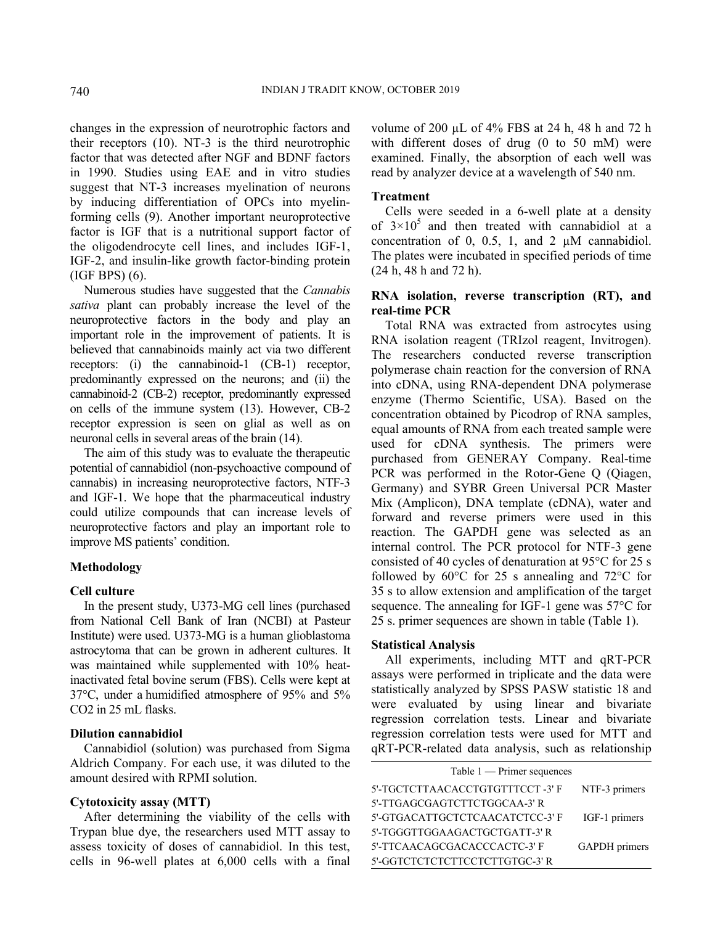changes in the expression of neurotrophic factors and their receptors (10). NT-3 is the third neurotrophic factor that was detected after NGF and BDNF factors in 1990. Studies using EAE and in vitro studies suggest that NT-3 increases myelination of neurons by inducing differentiation of OPCs into myelinforming cells (9). Another important neuroprotective factor is IGF that is a nutritional support factor of the oligodendrocyte cell lines, and includes IGF-1, IGF-2, and insulin-like growth factor-binding protein (IGF BPS) (6).

Numerous studies have suggested that the *Cannabis sativa* plant can probably increase the level of the neuroprotective factors in the body and play an important role in the improvement of patients. It is believed that cannabinoids mainly act via two different receptors: (i) the cannabinoid-1 (CB-1) receptor, predominantly expressed on the neurons; and (ii) the cannabinoid-2 (CB-2) receptor, predominantly expressed on cells of the immune system (13). However, CB-2 receptor expression is seen on glial as well as on neuronal cells in several areas of the brain (14).

The aim of this study was to evaluate the therapeutic potential of cannabidiol (non-psychoactive compound of cannabis) in increasing neuroprotective factors, NTF-3 and IGF-1. We hope that the pharmaceutical industry could utilize compounds that can increase levels of neuroprotective factors and play an important role to improve MS patients' condition.

#### **Methodology**

#### **Cell culture**

In the present study, U373-MG cell lines (purchased from National Cell Bank of Iran (NCBI) at Pasteur Institute) were used. U373-MG is a human glioblastoma astrocytoma that can be grown in adherent cultures. It was maintained while supplemented with 10% heatinactivated fetal bovine serum (FBS). Cells were kept at 37°C, under a humidified atmosphere of 95% and 5% CO2 in 25 mL flasks.

#### **Dilution cannabidiol**

Cannabidiol (solution) was purchased from Sigma Aldrich Company. For each use, it was diluted to the amount desired with RPMI solution.

## **Cytotoxicity assay (MTT)**

After determining the viability of the cells with Trypan blue dye, the researchers used MTT assay to assess toxicity of doses of cannabidiol. In this test, cells in 96-well plates at 6,000 cells with a final

volume of 200 µL of 4% FBS at 24 h, 48 h and 72 h with different doses of drug (0 to 50 mM) were examined. Finally, the absorption of each well was read by analyzer device at a wavelength of 540 nm.

#### **Treatment**

Cells were seeded in a 6-well plate at a density of  $3 \times 10^5$  and then treated with cannabidiol at a concentration of 0, 0.5, 1, and 2  $\mu$ M cannabidiol. The plates were incubated in specified periods of time (24 h, 48 h and 72 h).

# **RNA isolation, reverse transcription (RT), and real-time PCR**

Total RNA was extracted from astrocytes using RNA isolation reagent (TRIzol reagent, Invitrogen). The researchers conducted reverse transcription polymerase chain reaction for the conversion of RNA into cDNA, using RNA-dependent DNA polymerase enzyme (Thermo Scientific, USA). Based on the concentration obtained by Picodrop of RNA samples, equal amounts of RNA from each treated sample were used for cDNA synthesis. The primers were purchased from GENERAY Company. Real-time PCR was performed in the Rotor-Gene Q (Qiagen, Germany) and SYBR Green Universal PCR Master Mix (Amplicon), DNA template (cDNA), water and forward and reverse primers were used in this reaction. The GAPDH gene was selected as an internal control. The PCR protocol for NTF-3 gene consisted of 40 cycles of denaturation at 95°C for 25 s followed by  $60^{\circ}$ C for 25 s annealing and 72 $^{\circ}$ C for 35 s to allow extension and amplification of the target sequence. The annealing for IGF-1 gene was 57°C for 25 s. primer sequences are shown in table (Table 1).

#### **Statistical Analysis**

All experiments, including MTT and qRT-PCR assays were performed in triplicate and the data were statistically analyzed by SPSS PASW statistic 18 and were evaluated by using linear and bivariate regression correlation tests. Linear and bivariate regression correlation tests were used for MTT and qRT-PCR-related data analysis, such as relationship

| Table $1$ — Primer sequences    |               |
|---------------------------------|---------------|
| 5'-TGCTCTTAACACCTGTGTTTCCT-3'F  | NTF-3 primers |
| 5'-TTGAGCGAGTCTTCTGGCAA-3' R    |               |
| 5'-GTGACATTGCTCTCAACATCTCC-3' F | IGF-1 primers |
| 5'-TGGGTTGGAAGACTGCTGATT-3' R   |               |
| 5'-TTCAACAGCGACACCCACTC-3' F    | GAPDH primers |
| 5'-GGTCTCTCTCTTCCTCTTGTGC-3' R  |               |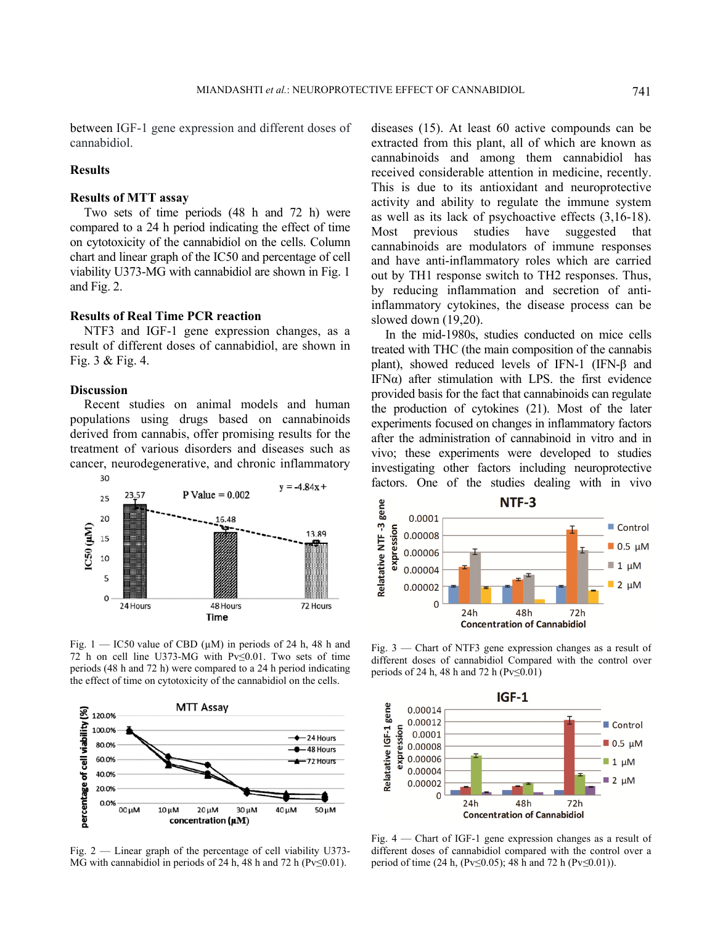between IGF-1 gene expression and different doses of cannabidiol.

# **Results**

## **Results of MTT assay**

Two sets of time periods (48 h and 72 h) were compared to a 24 h period indicating the effect of time on cytotoxicity of the cannabidiol on the cells. Column chart and linear graph of the IC50 and percentage of cell viability U373-MG with cannabidiol are shown in Fig. 1 and Fig. 2.

## **Results of Real Time PCR reaction**

NTF3 and IGF-1 gene expression changes, as a result of different doses of cannabidiol, are shown in Fig. 3 & Fig. 4.

## **Discussion**

Recent studies on animal models and human populations using drugs based on cannabinoids derived from cannabis, offer promising results for the treatment of various disorders and diseases such as cancer, neurodegenerative, and chronic inflammatory



Fig. 1 — IC50 value of CBD ( $\mu$ M) in periods of 24 h, 48 h and 72 h on cell line U373-MG with Pv≤0.01. Two sets of time periods (48 h and 72 h) were compared to a 24 h period indicating the effect of time on cytotoxicity of the cannabidiol on the cells.



Fig. 2 — Linear graph of the percentage of cell viability U373- MG with cannabidiol in periods of 24 h, 48 h and 72 h ( $Pv \le 0.01$ ).

diseases (15). At least 60 active compounds can be extracted from this plant, all of which are known as cannabinoids and among them cannabidiol has received considerable attention in medicine, recently. This is due to its antioxidant and neuroprotective activity and ability to regulate the immune system as well as its lack of psychoactive effects (3,16-18). Most previous studies have suggested that cannabinoids are modulators of immune responses and have anti-inflammatory roles which are carried out by TH1 response switch to TH2 responses. Thus, by reducing inflammation and secretion of antiinflammatory cytokines, the disease process can be slowed down (19,20).

In the mid-1980s, studies conducted on mice cells treated with THC (the main composition of the cannabis plant), showed reduced levels of IFN-1 (IFN-β and IFN $\alpha$ ) after stimulation with LPS. the first evidence provided basis for the fact that cannabinoids can regulate the production of cytokines (21). Most of the later experiments focused on changes in inflammatory factors after the administration of cannabinoid in vitro and in vivo; these experiments were developed to studies investigating other factors including neuroprotective factors. One of the studies dealing with in vivo



Fig. 3 — Chart of NTF3 gene expression changes as a result of different doses of cannabidiol Compared with the control over periods of 24 h, 48 h and 72 h ( $Pv \le 0.01$ )



Fig. 4 — Chart of IGF-1 gene expression changes as a result of different doses of cannabidiol compared with the control over a period of time (24 h, (Pv≤0.05); 48 h and 72 h (Pv*≤*0.01)).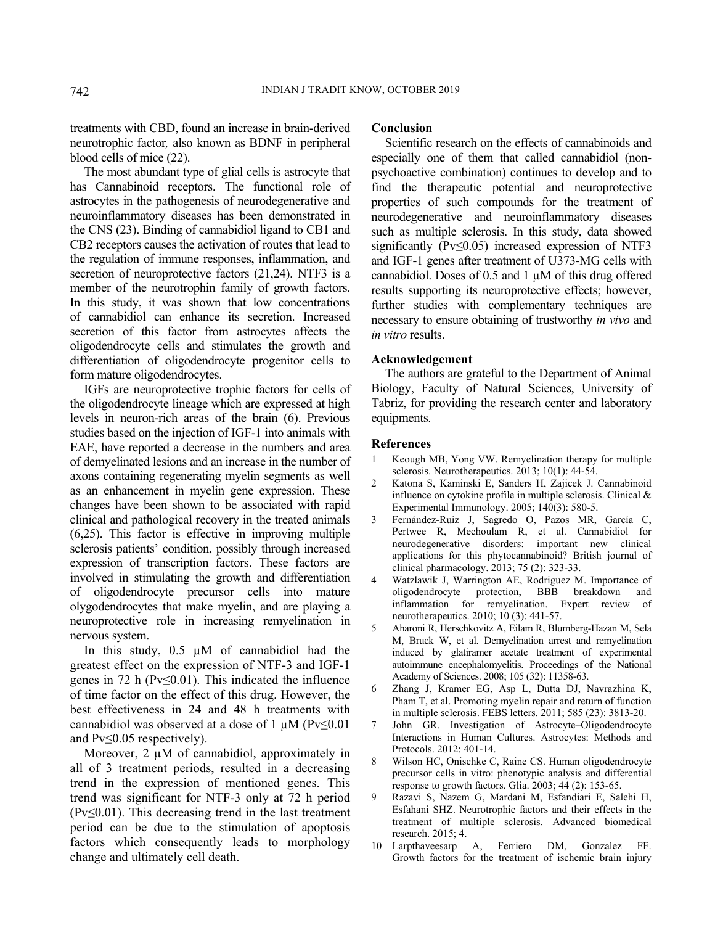treatments with CBD, found an increase in brain-derived neurotrophic factor*,* also known as BDNF in peripheral blood cells of mice (22).

The most abundant type of glial cells is astrocyte that has Cannabinoid receptors. The functional role of astrocytes in the pathogenesis of neurodegenerative and neuroinflammatory diseases has been demonstrated in the CNS (23). Binding of cannabidiol ligand to CB1 and CB2 receptors causes the activation of routes that lead to the regulation of immune responses, inflammation, and secretion of neuroprotective factors (21,24). NTF3 is a member of the neurotrophin family of growth factors. In this study, it was shown that low concentrations of cannabidiol can enhance its secretion. Increased secretion of this factor from astrocytes affects the oligodendrocyte cells and stimulates the growth and differentiation of oligodendrocyte progenitor cells to form mature oligodendrocytes.

IGFs are neuroprotective trophic factors for cells of the oligodendrocyte lineage which are expressed at high levels in neuron-rich areas of the brain (6). Previous studies based on the injection of IGF-1 into animals with EAE, have reported a decrease in the numbers and area of demyelinated lesions and an increase in the number of axons containing regenerating myelin segments as well as an enhancement in myelin gene expression. These changes have been shown to be associated with rapid clinical and pathological recovery in the treated animals (6,25). This factor is effective in improving multiple sclerosis patients' condition, possibly through increased expression of transcription factors. These factors are involved in stimulating the growth and differentiation of oligodendrocyte precursor cells into mature olygodendrocytes that make myelin, and are playing a neuroprotective role in increasing remyelination in nervous system.

In this study, 0.5 µM of cannabidiol had the greatest effect on the expression of NTF-3 and IGF-1 genes in 72 h ( $Pv \le 0.01$ ). This indicated the influence of time factor on the effect of this drug. However, the best effectiveness in 24 and 48 h treatments with cannabidiol was observed at a dose of  $1 \mu M$  (Pv<0.01 and Pv≤0.05 respectively).

Moreover, 2  $\mu$ M of cannabidiol, approximately in all of 3 treatment periods, resulted in a decreasing trend in the expression of mentioned genes. This trend was significant for NTF-3 only at 72 h period  $(Pv \le 0.01)$ . This decreasing trend in the last treatment period can be due to the stimulation of apoptosis factors which consequently leads to morphology change and ultimately cell death.

#### **Conclusion**

Scientific research on the effects of cannabinoids and especially one of them that called cannabidiol (nonpsychoactive combination) continues to develop and to find the therapeutic potential and neuroprotective properties of such compounds for the treatment of neurodegenerative and neuroinflammatory diseases such as multiple sclerosis. In this study, data showed significantly ( $Pv \le 0.05$ ) increased expression of NTF3 and IGF-1 genes after treatment of U373-MG cells with cannabidiol. Doses of  $0.5$  and  $1 \mu M$  of this drug offered results supporting its neuroprotective effects; however, further studies with complementary techniques are necessary to ensure obtaining of trustworthy *in vivo* and *in vitro* results.

## **Acknowledgement**

The authors are grateful to the Department of Animal Biology, Faculty of Natural Sciences, University of Tabriz, for providing the research center and laboratory equipments.

#### **References**

- 1 Keough MB, Yong VW. Remyelination therapy for multiple sclerosis. Neurotherapeutics. 2013; 10(1): 44-54.
- 2 Katona S, Kaminski E, Sanders H, Zajicek J. Cannabinoid influence on cytokine profile in multiple sclerosis. Clinical & Experimental Immunology. 2005; 140(3): 580-5.
- 3 Fernández‐Ruiz J, Sagredo O, Pazos MR, García C, Pertwee R, Mechoulam R, et al. Cannabidiol for neurodegenerative disorders: important new clinical applications for this phytocannabinoid? British journal of clinical pharmacology. 2013; 75 (2): 323-33.
- 4 Watzlawik J, Warrington AE, Rodriguez M. Importance of oligodendrocyte protection, BBB breakdown and inflammation for remyelination. Expert review of neurotherapeutics. 2010; 10 (3): 441-57.
- 5 Aharoni R, Herschkovitz A, Eilam R, Blumberg-Hazan M, Sela M, Bruck W, et al. Demyelination arrest and remyelination induced by glatiramer acetate treatment of experimental autoimmune encephalomyelitis. Proceedings of the National Academy of Sciences. 2008; 105 (32): 11358-63.
- 6 Zhang J, Kramer EG, Asp L, Dutta DJ, Navrazhina K, Pham T, et al. Promoting myelin repair and return of function in multiple sclerosis. FEBS letters. 2011; 585 (23): 3813-20.
- 7 John GR. Investigation of Astrocyte–Oligodendrocyte Interactions in Human Cultures. Astrocytes: Methods and Protocols. 2012: 401-14.
- 8 Wilson HC, Onischke C, Raine CS. Human oligodendrocyte precursor cells in vitro: phenotypic analysis and differential response to growth factors. Glia. 2003; 44 (2): 153-65.
- 9 Razavi S, Nazem G, Mardani M, Esfandiari E, Salehi H, Esfahani SHZ. Neurotrophic factors and their effects in the treatment of multiple sclerosis. Advanced biomedical research. 2015; 4.
- 10 Larpthaveesarp A, Ferriero DM, Gonzalez FF. Growth factors for the treatment of ischemic brain injury